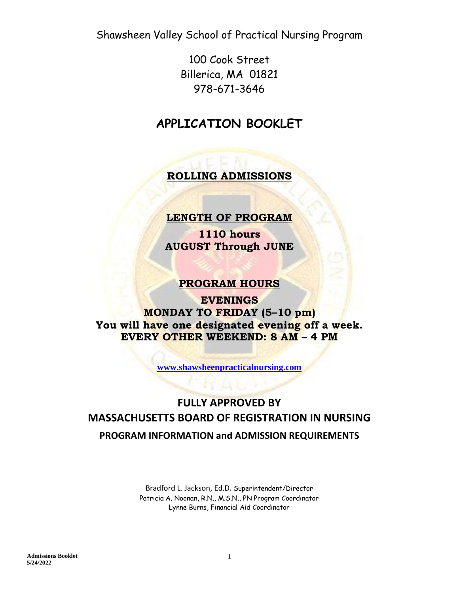100 Cook Street Billerica, MA 01821 978-671-3646

# **APPLICATION BOOKLET**

**ROLLING ADMISSIONS**

## **LENGTH OF PROGRAM**

**1110 hours AUGUST Through JUNE** 

## **PROGRAM HOURS**

**EVENINGS MONDAY TO FRIDAY (5–10 pm) You will have one designated evening off a week. EVERY OTHER WEEKEND: 8 AM – 4 PM**

**[www.shawsheenpracticalnursing.com](http://www.shawsheenpracticalnursing.com/)**

# **FULLY APPROVED BY MASSACHUSETTS BOARD OF REGISTRATION IN NURSING PROGRAM INFORMATION and ADMISSION REQUIREMENTS**

Bradford L. Jackson, Ed.D. [Superintendent/Director](http://www.shawsheentech.org/about/superintendents-page.html) Patricia A. Noonan, R.N., M.S.N., PN Program Coordinator Lynne Burns, Financial Aid Coordinator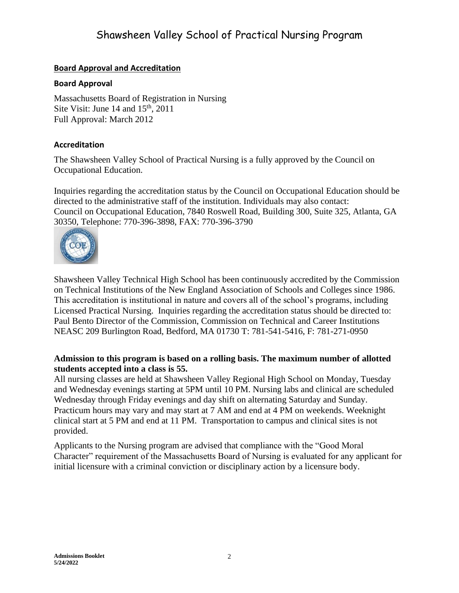#### **Board Approval and Accreditation**

#### **Board Approval**

Massachusetts Board of Registration in Nursing Site Visit: June 14 and  $15<sup>th</sup>$ , 2011 Full Approval: March 2012

#### **Accreditation**

The Shawsheen Valley School of Practical Nursing is a fully approved by the Council on Occupational Education.

Inquiries regarding the accreditation status by the Council on Occupational Education should be directed to the administrative staff of the institution. Individuals may also contact: Council on Occupational Education, 7840 Roswell Road, Building 300, Suite 325, Atlanta, GA 30350, Telephone: 770-396-3898, FAX: 770-396-3790



Shawsheen Valley Technical High School has been continuously accredited by the Commission on Technical Institutions of the New England Association of Schools and Colleges since 1986. This accreditation is institutional in nature and covers all of the school's programs, including Licensed Practical Nursing. Inquiries regarding the accreditation status should be directed to: Paul Bento Director of the Commission, Commission on Technical and Career Institutions NEASC 209 Burlington Road, Bedford, MA 01730 T: 781-541-5416, F: 781-271-0950

#### **Admission to this program is based on a rolling basis. The maximum number of allotted students accepted into a class is 55.**

All nursing classes are held at Shawsheen Valley Regional High School on Monday, Tuesday and Wednesday evenings starting at 5PM until 10 PM. Nursing labs and clinical are scheduled Wednesday through Friday evenings and day shift on alternating Saturday and Sunday. Practicum hours may vary and may start at 7 AM and end at 4 PM on weekends. Weeknight clinical start at 5 PM and end at 11 PM. Transportation to campus and clinical sites is not provided.

Applicants to the Nursing program are advised that compliance with the "Good Moral Character" requirement of the Massachusetts Board of Nursing is evaluated for any applicant for initial licensure with a criminal conviction or disciplinary action by a licensure body.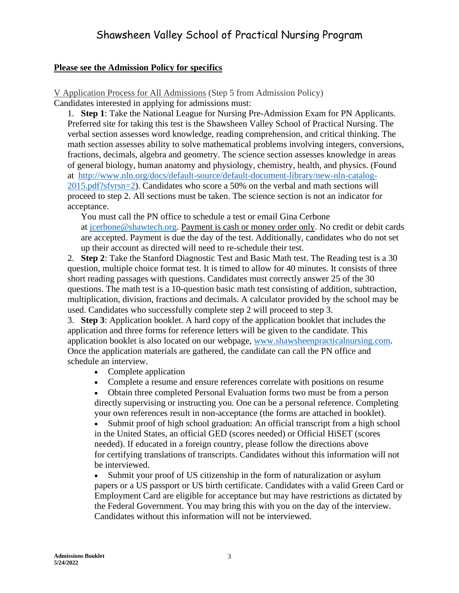#### **Please see the Admission Policy for specifics**

V Application Process for All Admissions (Step 5 from Admission Policy) Candidates interested in applying for admissions must:

1. **Step 1**: Take the National League for Nursing Pre-Admission Exam for PN Applicants. Preferred site for taking this test is the Shawsheen Valley School of Practical Nursing. The verbal section assesses word knowledge, reading comprehension, and critical thinking. The math section assesses ability to solve mathematical problems involving integers, conversions, fractions, decimals, algebra and geometry. The science section assesses knowledge in areas of general biology, human anatomy and physiology, chemistry, health, and physics. (Found at [http://www.nln.org/docs/default-source/default-document-library/new-nln-catalog-](http://www.nln.org/docs/default-source/default-document-library/new-nln-catalog-2015.pdf?sfvrsn=2)[2015.pdf?sfvrsn=2\)](http://www.nln.org/docs/default-source/default-document-library/new-nln-catalog-2015.pdf?sfvrsn=2). Candidates who score a 50% on the verbal and math sections will proceed to step 2. All sections must be taken. The science section is not an indicator for acceptance.

You must call the PN office to schedule a test or email Gina Cerbone at [jcerbone@shawtech.org.](mailto:jcerbone@shawtech.org) Payment is cash or money order only. No credit or debit cards are accepted. Payment is due the day of the test. Additionally, candidates who do not set up their account as directed will need to re-schedule their test.

2. **Step 2**: Take the Stanford Diagnostic Test and Basic Math test. The Reading test is a 30 question, multiple choice format test. It is timed to allow for 40 minutes. It consists of three short reading passages with questions. Candidates must correctly answer 25 of the 30 questions. The math test is a 10-question basic math test consisting of addition, subtraction, multiplication, division, fractions and decimals. A calculator provided by the school may be used. Candidates who successfully complete step 2 will proceed to step 3.

3. **Step 3**: Application booklet. A hard copy of the application booklet that includes the application and three forms for reference letters will be given to the candidate. This application booklet is also located on our webpage, [www.shawsheenpracticalnursing.com.](http://www.shawsheenpracticalnursing.com/) Once the application materials are gathered, the candidate can call the PN office and schedule an interview.

- Complete application
- Complete a resume and ensure references correlate with positions on resume
- Obtain three completed Personal Evaluation forms two must be from a person directly supervising or instructing you. One can be a personal reference. Completing your own references result in non-acceptance (the forms are attached in booklet).

• Submit proof of high school graduation: An official transcript from a high school in the United States, an official GED (scores needed) or Official HiSET (scores needed). If educated in a foreign country, please follow the directions above for certifying translations of transcripts. Candidates without this information will not be interviewed.

• Submit your proof of US citizenship in the form of naturalization or asylum papers or a US passport or US birth certificate. Candidates with a valid Green Card or Employment Card are eligible for acceptance but may have restrictions as dictated by the Federal Government. You may bring this with you on the day of the interview. Candidates without this information will not be interviewed.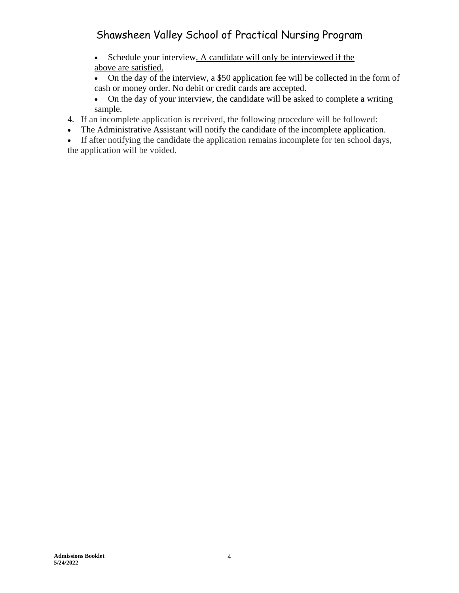- Schedule your interview. A candidate will only be interviewed if the above are satisfied.
- On the day of the interview, a \$50 application fee will be collected in the form of cash or money order. No debit or credit cards are accepted.
- On the day of your interview, the candidate will be asked to complete a writing sample.
- 4. If an incomplete application is received, the following procedure will be followed:
- The Administrative Assistant will notify the candidate of the incomplete application.
- If after notifying the candidate the application remains incomplete for ten school days, the application will be voided.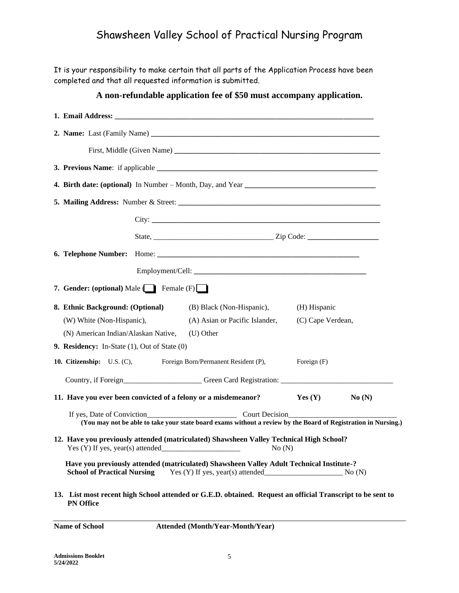It is your responsibility to make certain that all parts of the Application Process have been completed and that all requested information is submitted.

#### **A non-refundable application fee of \$50 must accompany application.**

|                                                                 | City:                                                                                                          |                   |       |
|-----------------------------------------------------------------|----------------------------------------------------------------------------------------------------------------|-------------------|-------|
|                                                                 |                                                                                                                |                   |       |
|                                                                 |                                                                                                                |                   |       |
|                                                                 |                                                                                                                |                   |       |
|                                                                 |                                                                                                                |                   |       |
| 7. Gender: (optional) Male $\Box$ Female (F)                    |                                                                                                                |                   |       |
| 8. Ethnic Background: (Optional)                                | (B) Black (Non-Hispanic),                                                                                      | (H) Hispanic      |       |
| (W) White (Non-Hispanic),                                       | (A) Asian or Pacific Islander,                                                                                 | (C) Cape Verdean, |       |
| (N) American Indian/Alaskan Native,                             | (U) Other                                                                                                      |                   |       |
| 9. Residency: In-State $(1)$ , Out of State $(0)$               |                                                                                                                |                   |       |
| 10. Citizenship: U.S. (C), Foreign Born/Permanent Resident (P), |                                                                                                                | Foreign (F)       |       |
|                                                                 | Country, if Foreign_____________________Green Card Registration: ___________________________________           |                   |       |
|                                                                 | 11. Have you ever been convicted of a felony or a misdemeanor?                                                 | Yes(Y)            | No(N) |
|                                                                 | (You may not be able to take your state board exams without a review by the Board of Registration in Nursing.) |                   |       |
|                                                                 | 12. Have you previously attended (matriculated) Shawsheen Valley Technical High School?                        |                   |       |
| <b>School of Practical Nursing</b>                              | Have you previously attended (matriculated) Shawsheen Valley Adult Technical Institute-?                       |                   |       |
| <b>PN Office</b>                                                | 13. List most recent high School attended or G.E.D. obtained. Request an official Transcript to be sent to     |                   |       |

**Name of School Attended (Month/Year-Month/Year)**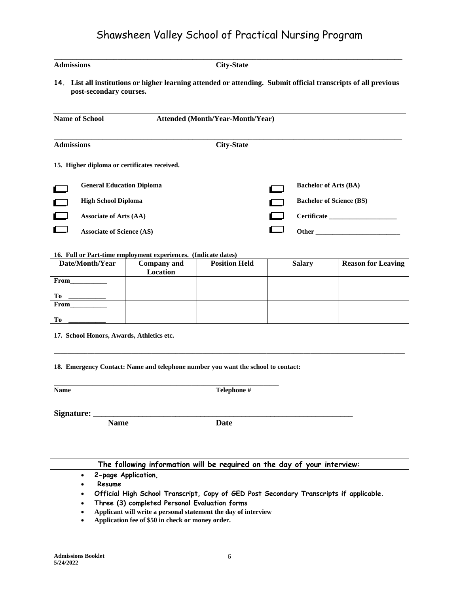| <b>Admissions</b><br><b>City-State</b> |                                              |                                         |  |                                                                                                                 |  |
|----------------------------------------|----------------------------------------------|-----------------------------------------|--|-----------------------------------------------------------------------------------------------------------------|--|
|                                        | post-secondary courses.                      |                                         |  | 14. List all institutions or higher learning attended or attending. Submit official transcripts of all previous |  |
|                                        | <b>Name of School</b>                        | <b>Attended (Month/Year-Month/Year)</b> |  |                                                                                                                 |  |
| <b>Admissions</b>                      |                                              | <b>City-State</b>                       |  |                                                                                                                 |  |
|                                        | 15. Higher diploma or certificates received. |                                         |  |                                                                                                                 |  |
|                                        | <b>General Education Diploma</b>             |                                         |  | <b>Bachelor of Arts (BA)</b>                                                                                    |  |
|                                        | <b>High School Diploma</b>                   |                                         |  | <b>Bachelor of Science (BS)</b>                                                                                 |  |
|                                        | <b>Associate of Arts (AA)</b>                |                                         |  | <b>Certificate</b>                                                                                              |  |
|                                        | <b>Associate of Science (AS)</b>             |                                         |  | Other                                                                                                           |  |

#### **16. Full or Part-time employment experiences. (Indicate dates)**

| Date/Month/Year | <b>Company</b> and | <b>Position Held</b> | <b>Salary</b> | <b>Reason for Leaving</b> |
|-----------------|--------------------|----------------------|---------------|---------------------------|
|                 | Location           |                      |               |                           |
| From            |                    |                      |               |                           |
|                 |                    |                      |               |                           |
| Tо              |                    |                      |               |                           |
| From            |                    |                      |               |                           |
|                 |                    |                      |               |                           |
| Tо              |                    |                      |               |                           |

**\_\_\_\_\_\_\_\_\_\_\_\_\_\_\_\_\_\_\_\_\_\_\_\_\_\_\_\_\_\_\_\_\_\_\_\_\_\_\_\_\_\_\_\_\_\_\_\_\_\_\_\_\_\_\_\_\_\_\_\_\_\_\_\_\_\_\_\_\_\_\_\_\_\_\_\_\_\_\_\_\_\_\_\_\_\_\_\_\_\_\_\_\_\_\_\_\_\_\_\_\_\_\_\_**

**17. School Honors, Awards, Athletics etc.**

**18. Emergency Contact: Name and telephone number you want the school to contact:**

**\_\_\_\_\_\_\_\_\_\_\_\_\_\_\_\_\_\_\_\_\_\_\_\_\_\_\_\_\_\_\_\_\_\_\_\_\_\_\_\_\_\_\_\_\_\_\_\_\_\_\_\_\_\_\_\_\_\_\_\_\_\_\_\_\_\_\_\_\_\_\_\_\_\_\_**

**Name Telephone #**

Signature:

**Name Date**

|           | The following information will be required on the day of your interview:               |
|-----------|----------------------------------------------------------------------------------------|
| $\bullet$ | 2-page Application,                                                                    |
| ٠         | Resume                                                                                 |
| $\bullet$ | Official High School Transcript, Copy of GED Post Secondary Transcripts if applicable. |
| $\bullet$ | Three (3) completed Personal Evaluation forms                                          |
| $\bullet$ | Applicant will write a personal statement the day of interview                         |
|           | Application fee of \$50 in check or money order.                                       |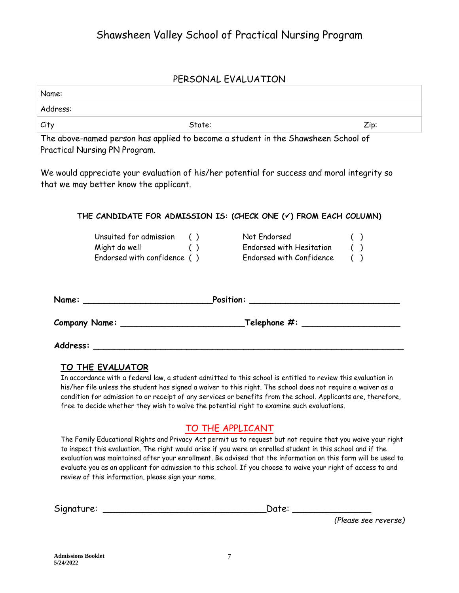#### PERSONAL EVALUATION

| Name:                                                                                                                                                                                              |                                                                                                                                                                                                                                    |      |
|----------------------------------------------------------------------------------------------------------------------------------------------------------------------------------------------------|------------------------------------------------------------------------------------------------------------------------------------------------------------------------------------------------------------------------------------|------|
| Address:                                                                                                                                                                                           |                                                                                                                                                                                                                                    |      |
| City                                                                                                                                                                                               | State:                                                                                                                                                                                                                             | Zip: |
| the contract of the contract of the contract of the contract of the contract of the contract of the contract of<br>the contract of the contract of the contract of the contract of the contract of | the contract of the contract of the contract of the contract of the contract of the contract of the contract of<br>the contract of the contract of the contract of the contract of the contract of the contract of the contract of |      |

The above-named person has applied to become a student in the Shawsheen School of Practical Nursing PN Program.

We would appreciate your evaluation of his/her potential for success and moral integrity so that we may better know the applicant.

#### **THE CANDIDATE FOR ADMISSION IS: (CHECK ONE (**✓**) FROM EACH COLUMN)**

| Unsuited for admission      | ( ) | Not Endorsed             | ( |  |
|-----------------------------|-----|--------------------------|---|--|
| Might do well               | (   | Endorsed with Hesitation |   |  |
| Endorsed with confidence () |     | Endorsed with Confidence |   |  |

| Name:                | Position:                  |
|----------------------|----------------------------|
| <b>Company Name:</b> | $\_$ Telephone $\#$ : $\_$ |
| Address:             |                            |

#### **TO THE EVALUATOR**

In accordance with a federal law, a student admitted to this school is entitled to review this evaluation in his/her file unless the student has signed a waiver to this right. The school does not require a waiver as a condition for admission to or receipt of any services or benefits from the school. Applicants are, therefore, free to decide whether they wish to waive the potential right to examine such evaluations.

## TO THE APPLICANT

The Family Educational Rights and Privacy Act permit us to request but not require that you waive your right to inspect this evaluation. The right would arise if you were an enrolled student in this school and if the evaluation was maintained after your enrollment. Be advised that the information on this form will be used to evaluate you as an applicant for admission to this school. If you choose to waive your right of access to and review of this information, please sign your name.

Signature: \_\_\_\_\_\_\_\_\_\_\_\_\_\_\_\_\_\_\_\_\_\_\_\_\_\_\_\_\_Date: \_\_\_\_\_\_\_\_\_\_\_\_\_\_

*(Please see reverse)*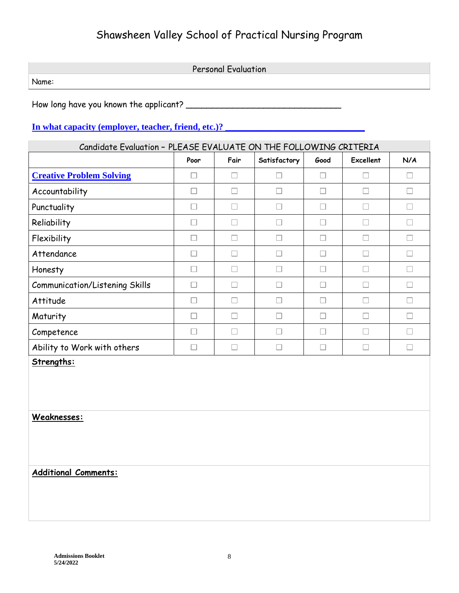Personal Evaluation Name:

How long have you known the applicant? \_\_\_\_\_\_\_\_\_\_\_\_\_\_\_\_\_\_\_\_\_\_\_\_\_\_\_\_\_\_

#### **In what capacity (employer, teacher, friend, etc.)?**

| Candidate Evaluation - PLEASE EVALUATE ON THE FOLLOWING CRITERIA |                          |                          |              |      |           |     |
|------------------------------------------------------------------|--------------------------|--------------------------|--------------|------|-----------|-----|
|                                                                  | Poor                     | Fair                     | Satisfactory | Good | Excellent | N/A |
| <b>Creative Problem Solving</b>                                  |                          |                          | r.           |      |           |     |
| Accountability                                                   |                          |                          | H            | L    |           | H   |
| Punctuality                                                      | $\overline{\phantom{a}}$ | $\overline{\phantom{a}}$ | $\Box$       | Г    | H         | H   |
| Reliability                                                      | Г                        |                          | П            | г    | г         | П   |
| Flexibility                                                      |                          |                          | u            |      |           |     |
| Attendance                                                       | $\Box$                   | $\Box$                   | П            | П    | L.        | Ш   |
| Honesty                                                          | П                        | L.                       | П            | г    |           | г   |
| <b>Communication/Listening Skills</b>                            |                          |                          | n.           |      |           |     |
| Attitude                                                         | П                        | П                        | П            | П    | $\Box$    | П   |
| Maturity                                                         |                          |                          | L            |      |           |     |
| Competence                                                       | Г                        |                          | П            | г    |           | П   |
| Ability to Work with others                                      |                          |                          |              |      |           |     |
| Strengths:                                                       |                          |                          |              |      |           |     |

**Weaknesses:**

### **Additional Comments:**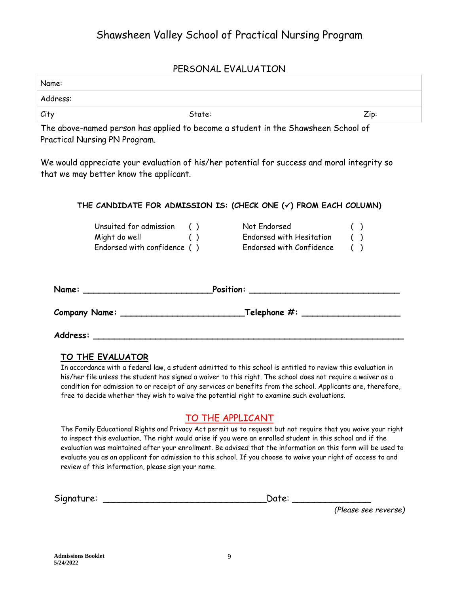#### PERSONAL EVALUATION

| Name:    |        |      |
|----------|--------|------|
| Address: |        |      |
| City     | State: | Zip: |

The above-named person has applied to become a student in the Shawsheen School of Practical Nursing PN Program.

We would appreciate your evaluation of his/her potential for success and moral integrity so that we may better know the applicant.

#### **THE CANDIDATE FOR ADMISSION IS: (CHECK ONE (**✓**) FROM EACH COLUMN)**

| Unsuited for admission      | ( | Not Endorsed             |  |
|-----------------------------|---|--------------------------|--|
| Might do well               | ( | Endorsed with Hesitation |  |
| Endorsed with confidence () |   | Endorsed with Confidence |  |

| Name:                | Position:                           |
|----------------------|-------------------------------------|
| <b>Company Name:</b> | _Telephone $\boldsymbol{\#} \colon$ |

#### **TO THE EVALUATOR**

**Address: \_\_\_\_\_\_\_\_\_\_\_\_\_\_\_\_\_\_\_\_\_\_\_\_\_\_\_\_\_\_\_\_\_\_\_\_\_\_\_\_\_\_\_\_\_\_\_\_\_\_\_\_\_\_\_\_\_\_\_\_**

In accordance with a federal law, a student admitted to this school is entitled to review this evaluation in his/her file unless the student has signed a waiver to this right. The school does not require a waiver as a condition for admission to or receipt of any services or benefits from the school. Applicants are, therefore, free to decide whether they wish to waive the potential right to examine such evaluations.

#### TO THE APPLICANT

The Family Educational Rights and Privacy Act permit us to request but not require that you waive your right to inspect this evaluation. The right would arise if you were an enrolled student in this school and if the evaluation was maintained after your enrollment. Be advised that the information on this form will be used to evaluate you as an applicant for admission to this school. If you choose to waive your right of access to and review of this information, please sign your name.

Signature: \_\_\_\_\_\_\_\_\_\_\_\_\_\_\_\_\_\_\_\_\_\_\_\_\_\_\_\_\_Date: \_\_\_\_\_\_\_\_\_\_\_\_\_\_

*(Please see reverse)*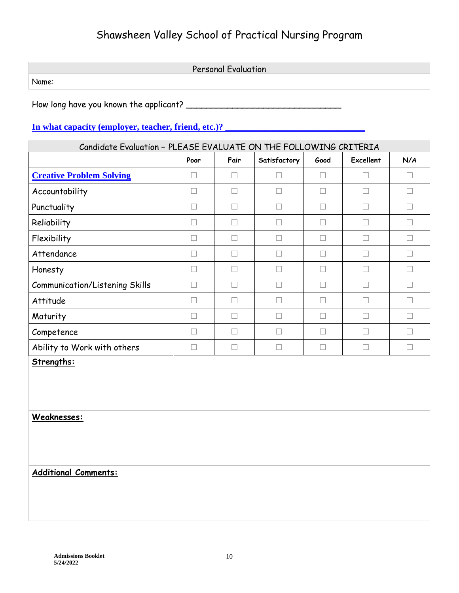Personal Evaluation Name:

How long have you known the applicant? \_\_\_\_\_\_\_\_\_\_\_\_\_\_\_\_\_\_\_\_\_\_\_\_\_\_\_\_\_\_

## **In what capacity (employer, teacher, friend, etc.)?**

| Candidate Evaluation - PLEASE EVALUATE ON THE FOLLOWING CRITERIA |                          |                          |              |      |                  |              |  |
|------------------------------------------------------------------|--------------------------|--------------------------|--------------|------|------------------|--------------|--|
|                                                                  | Poor                     | Fair                     | Satisfactory | Good | <b>Excellent</b> | N/A          |  |
| <b>Creative Problem Solving</b>                                  |                          |                          | r.           |      |                  | $\mathbf{L}$ |  |
| Accountability                                                   | $\overline{\phantom{a}}$ | $\Box$                   | H            | Г    | H                | П            |  |
| Punctuality                                                      | $\vert \ \ \vert$        | $\Box$                   | ш            | п    | $\Box$           | $\Box$       |  |
| Reliability                                                      | П                        | L.                       | □            | Г    |                  | П            |  |
| Flexibility                                                      | Г                        | П                        | П            | г    | Г                | П            |  |
| Attendance                                                       | H                        |                          | П            | Г    |                  |              |  |
| Honesty                                                          | П                        | H                        | П            | Г    |                  | П            |  |
| <b>Communication/Listening Skills</b>                            | П                        | $\overline{\phantom{a}}$ | П            | Г    | I.               | П            |  |
| Attitude                                                         | П                        | L                        | П            | г    |                  | П            |  |
| Maturity                                                         | Г                        |                          | П            | Г    |                  | Г            |  |
| Competence                                                       |                          |                          | □            |      |                  |              |  |
| Ability to Work with others                                      | L.                       | L                        | П            | L    |                  | П            |  |
| Strengths:                                                       |                          |                          |              |      |                  |              |  |

**Weaknesses:**

### **Additional Comments:**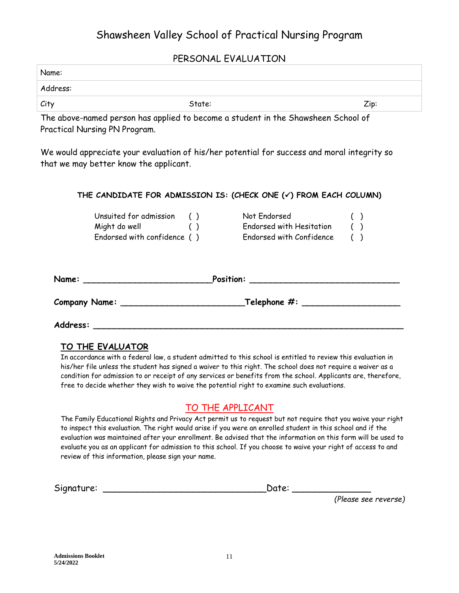#### PERSONAL EVALUATION

| Name:    |        |      |
|----------|--------|------|
| Address: |        |      |
| City     | State: | Zip: |

The above-named person has applied to become a student in the Shawsheen School of Practical Nursing PN Program.

We would appreciate your evaluation of his/her potential for success and moral integrity so that we may better know the applicant.

|                             | THE CANDIDATE FOR ADMISSION IS: (CHECK ONE $(\checkmark)$ FROM EACH COLUMN) |  |
|-----------------------------|-----------------------------------------------------------------------------|--|
| Unsuited for admission ()   | Not Endorsed                                                                |  |
| Might do well               | Endorsed with Hesitation                                                    |  |
| Endorsed with confidence () | Endorsed with Confidence                                                    |  |
| Name:                       |                                                                             |  |
|                             |                                                                             |  |

**Address: \_\_\_\_\_\_\_\_\_\_\_\_\_\_\_\_\_\_\_\_\_\_\_\_\_\_\_\_\_\_\_\_\_\_\_\_\_\_\_\_\_\_\_\_\_\_\_\_\_\_\_\_\_\_\_\_\_\_\_\_**

#### **TO THE EVALUATOR**

In accordance with a federal law, a student admitted to this school is entitled to review this evaluation in his/her file unless the student has signed a waiver to this right. The school does not require a waiver as a condition for admission to or receipt of any services or benefits from the school. Applicants are, therefore, free to decide whether they wish to waive the potential right to examine such evaluations.

## TO THE APPLICANT

The Family Educational Rights and Privacy Act permit us to request but not require that you waive your right to inspect this evaluation. The right would arise if you were an enrolled student in this school and if the evaluation was maintained after your enrollment. Be advised that the information on this form will be used to evaluate you as an applicant for admission to this school. If you choose to waive your right of access to and review of this information, please sign your name.

| Sianature:<br>- | --<br>---- |  |
|-----------------|------------|--|
|-----------------|------------|--|

*(Please see reverse)*